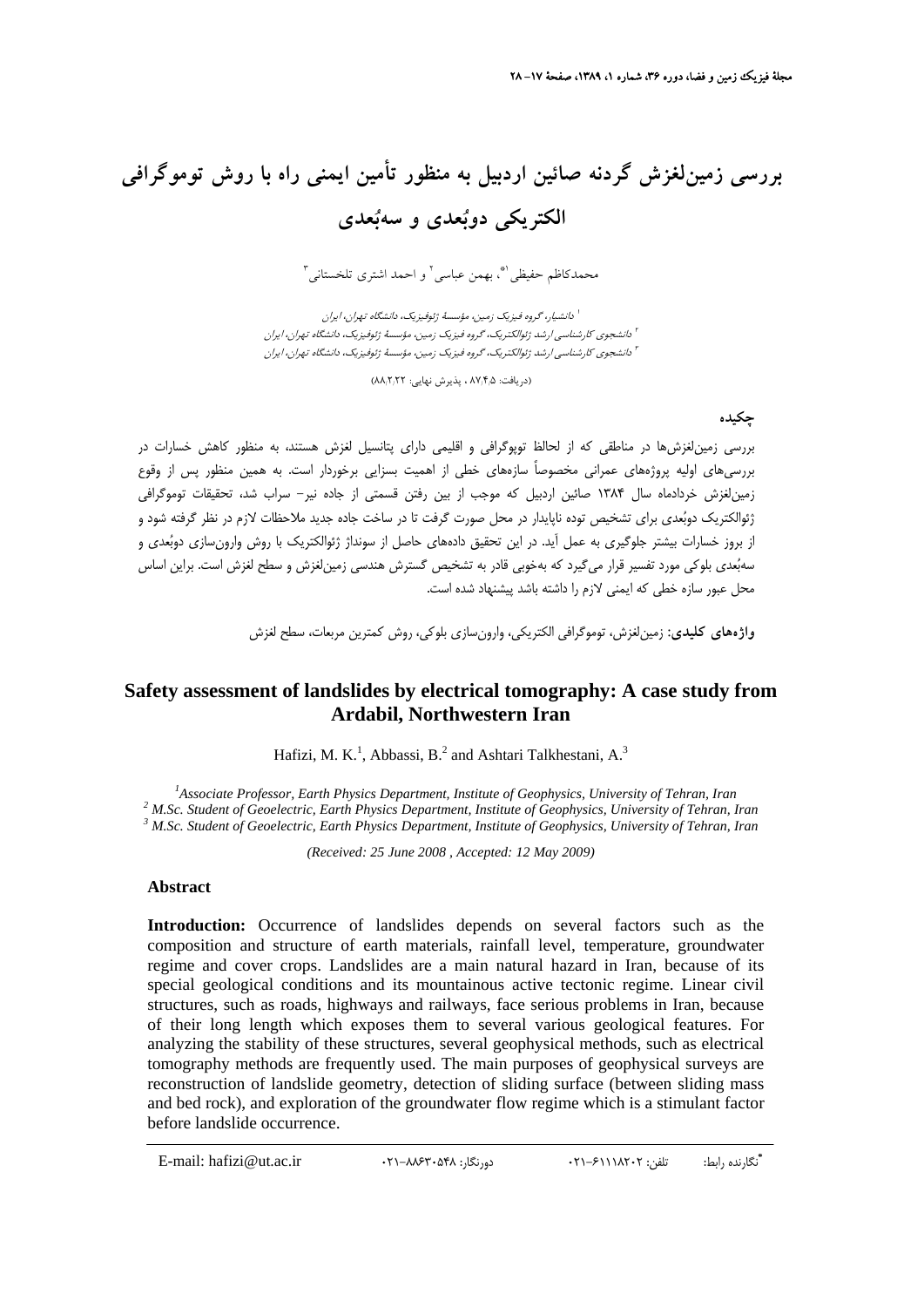## **بررسي زمينلغزش گردنه صائين اردبيل به منظور تأمين ايمني راه با روش توموگرافي الكتريكي دوبعدي و سهبعدي**

محمدكاظم حفيظي'"، بهمن عباسي<sup>٢</sup> و احمد اشترى تلخستاني"

دانشيار، گروه فيزيك زمين، مؤسسة ژئوفيزيك، دانشگاه تهران، ايران <sup>1</sup> دانشجوي كارشناسي ارشد ژئوالكتريك، گروه فيزيك زمين، مؤسسة ژئوفيزيك، دانشگاه تهران، ايران <sup>2</sup> دانشجوي كارشناسي ارشد ژئوالكتريك، گروه فيزيك زمين، مؤسسة ژئوفيزيك، دانشگاه تهران، ايران <sup>3</sup>

(دريافت: ۸۷٬۴٫۵ ، پذيرش نهايي: ۸۸٬۲٬۲۲)

**چكيده**

بررسي زمينلغزشها در مناطقي كه از لحالظ توپوگرافي و اقليمي داراي پتانسيل لغزش هستند، به منظور كاهش خسارات در بررسيهاي اوليه پروژههاي عمراني مخصوصاً سازههاي خطي از اهميت بسزايي برخوردار است. به همين منظور پس از وقوع زمينلغزش خردادماه سال 1384 صائين اردبيل كه موجب از بين رفتن قسمتي از جاده نير- سراب شد، تحقيقات توموگرافي ژئوالكتريك دوبعدي براي تشخيص توده ناپايدار در محل صورت گرفت تا در ساخت جاده جديد ملاحظات لازم در نظر گرفته شود و از بروز خسارات بيشتر جلوگيري به عمل آيد. در اين تحقيق دادههاي حاصل از سونداژ ژئوالكتريك با روش وارونسازي دوبعدي و سهبعدي بلوكي مورد تفسير قرار ميگيرد كه بهخوبي قادر به تشخيص گسترش هندسي زمينلغزش و سطح لغزش است. براين اساس محل عبور سازه خطي كه ايمني لازم را داشته باشد پيشنهاد شده است.

**واژههاي كليدي:** زمينلغزش، توموگرافي الكتريكي، وارونسازي بلوكي، روش كمترين مربعات، سطح لغزش

## **Safety assessment of landslides by electrical tomography: A case study from Ardabil, Northwestern Iran**

Hafizi, M. K.<sup>1</sup>, Abbassi, B.<sup>2</sup> and Ashtari Talkhestani, A.<sup>3</sup>

<sup>1</sup><br>
<sup>1</sup> Associate Professor, Earth Physics Department, Institute of Geophysics, University of Tehran, Iran <sup>2</sup> M Se, Student of Ceophysics, Iniversity of Tehran, I <sup>2</sup> M.Sc. Student of Geoelectric, Earth Physics Department, Institute of Geophysics, University of Tehran, Iran  *M.Sc. Student of Geoelectric, Earth Physics Department, Institute of Geophysics, University of Tehran, Iran* 

*(Received: 25 June 2008 , Accepted: 12 May 2009)* 

## **Abstract**

Introduction: Occurrence of landslides depends on several factors such as the composition and structure of earth materials, rainfall level, temperature, groundwater regime and cover crops. Landslides are a main natural hazard in Iran, because of its special geological conditions and its mountainous active tectonic regime. Linear civil structures, such as roads, highways and railways, face serious problems in Iran, because of their long length which exposes them to several various geological features. For analyzing the stability of these structures, several geophysical methods, such as electrical tomography methods are frequently used. The main purposes of geophysical surveys are reconstruction of landslide geometry, detection of sliding surface (between sliding mass and bed rock), and exploration of the groundwater flow regime which is a stimulant factor before landslide occurrence.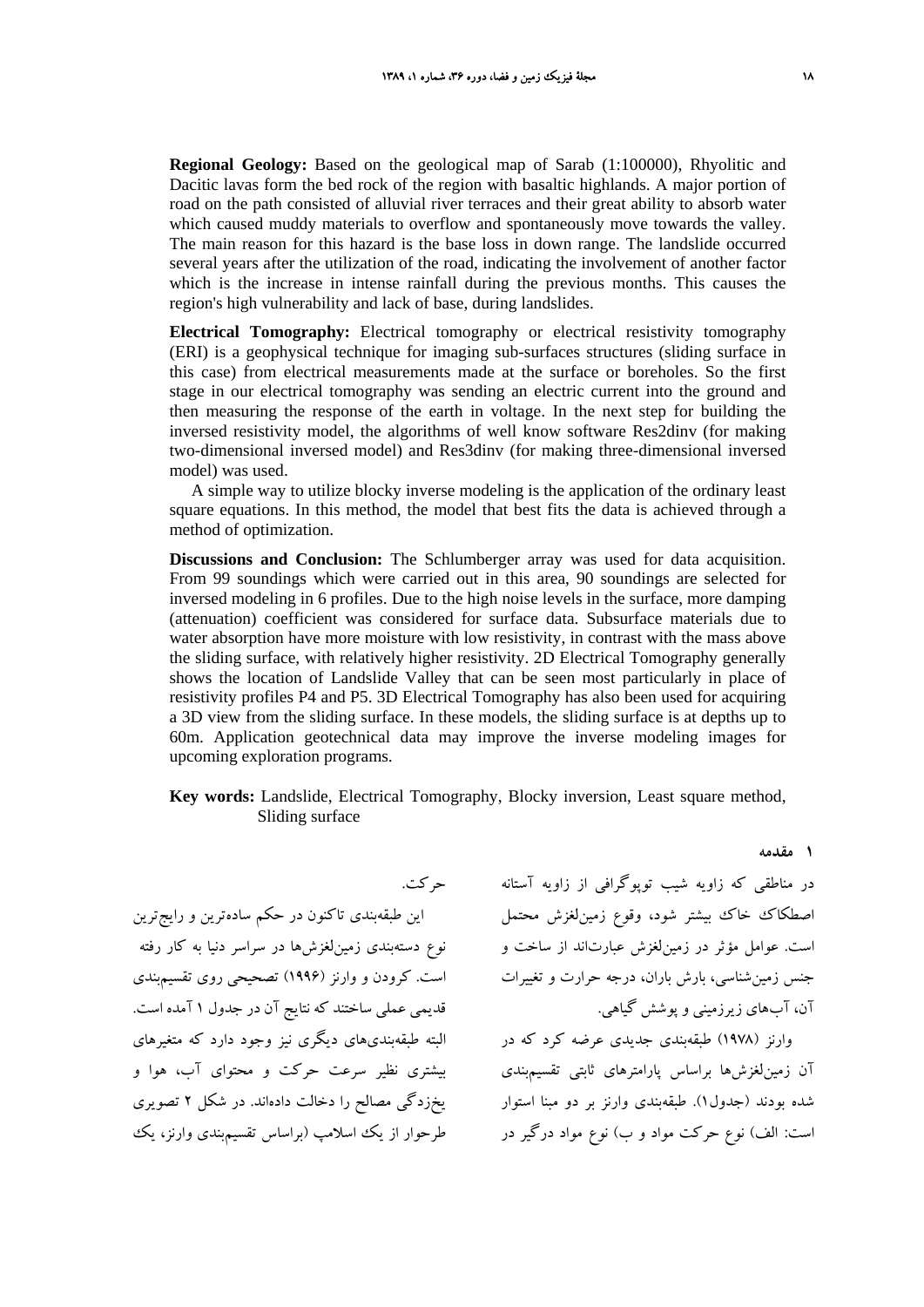**Regional Geology:** Based on the geological map of Sarab (1:100000), Rhyolitic and Dacitic lavas form the bed rock of the region with basaltic highlands. A major portion of road on the path consisted of alluvial river terraces and their great ability to absorb water which caused muddy materials to overflow and spontaneously move towards the valley. The main reason for this hazard is the base loss in down range. The landslide occurred several years after the utilization of the road, indicating the involvement of another factor which is the increase in intense rainfall during the previous months. This causes the region's high vulnerability and lack of base, during landslides.

**Electrical Tomography:** Electrical tomography or electrical resistivity tomography (ERI) is a geophysical technique for imaging sub-surfaces structures (sliding surface in this case) from electrical measurements made at the surface or boreholes. So the first stage in our electrical tomography was sending an electric current into the ground and then measuring the response of the earth in voltage. In the next step for building the inversed resistivity model, the algorithms of well know software Res2dinv (for making two-dimensional inversed model) and Res3dinv (for making three-dimensional inversed model) was used.

A simple way to utilize blocky inverse modeling is the application of the ordinary least square equations. In this method, the model that best fits the data is achieved through a method of optimization.

**Discussions and Conclusion:** The Schlumberger array was used for data acquisition. From 99 soundings which were carried out in this area, 90 soundings are selected for inversed modeling in 6 profiles. Due to the high noise levels in the surface, more damping (attenuation) coefficient was considered for surface data. Subsurface materials due to water absorption have more moisture with low resistivity, in contrast with the mass above the sliding surface, with relatively higher resistivity. 2D Electrical Tomography generally shows the location of Landslide Valley that can be seen most particularly in place of resistivity profiles P4 and P5. 3D Electrical Tomography has also been used for acquiring a 3D view from the sliding surface. In these models, the sliding surface is at depths up to 60m. Application geotechnical data may improve the inverse modeling images for upcoming exploration programs.

**Key words:** Landslide, Electrical Tomography, Blocky inversion, Least square method, Sliding surface

اين طبقهبندي تاكنون در حكم سادهترين و رايجترين نوع دستهبندي زمينلغزشها در سراسر دنيا به كار رفته است. كرودن و وارنز (1996) تصحيحي روي تقسيمبندي قديمي عملي ساختند كه نتايج آن در جدول 1 آمده است. البته طبقهبنديهاي ديگري نيز وجود دارد كه متغيرهاي بيشتري نظير سرعت حركت و محتواي آب، هوا و يخزدگي مصالح را دخالت دادهاند. در شكل 2 تصويري طرحوار از يك اسلامپ (براساس تقسيمبندي وارنز، يك

در مناطقي كه زاويه شيب توپوگرافي از زاويه آستانه حركت. اصطكاك خاك بيشتر شود، وقوع زمينلغزش محتمل است. عوامل مؤثر در زمينلغزش عبارتاند از ساخت و جنس زمينشناسي، بارش باران، درجه حرارت و تغييرات آن، آبهاي زيرزميني و پوشش گياهي.

**1 مقدمه**

وارنز (1978) طبقهبندي جديدي عرضه كرد كه در آن زمينلغزشها براساس پارامترهاي ثابتي تقسيمبندي شده بودند (جدول1). طبقهبندي وارنز بر دو مبنا استوار است: الف) نوع حركت مواد و ب) نوع مواد درگير در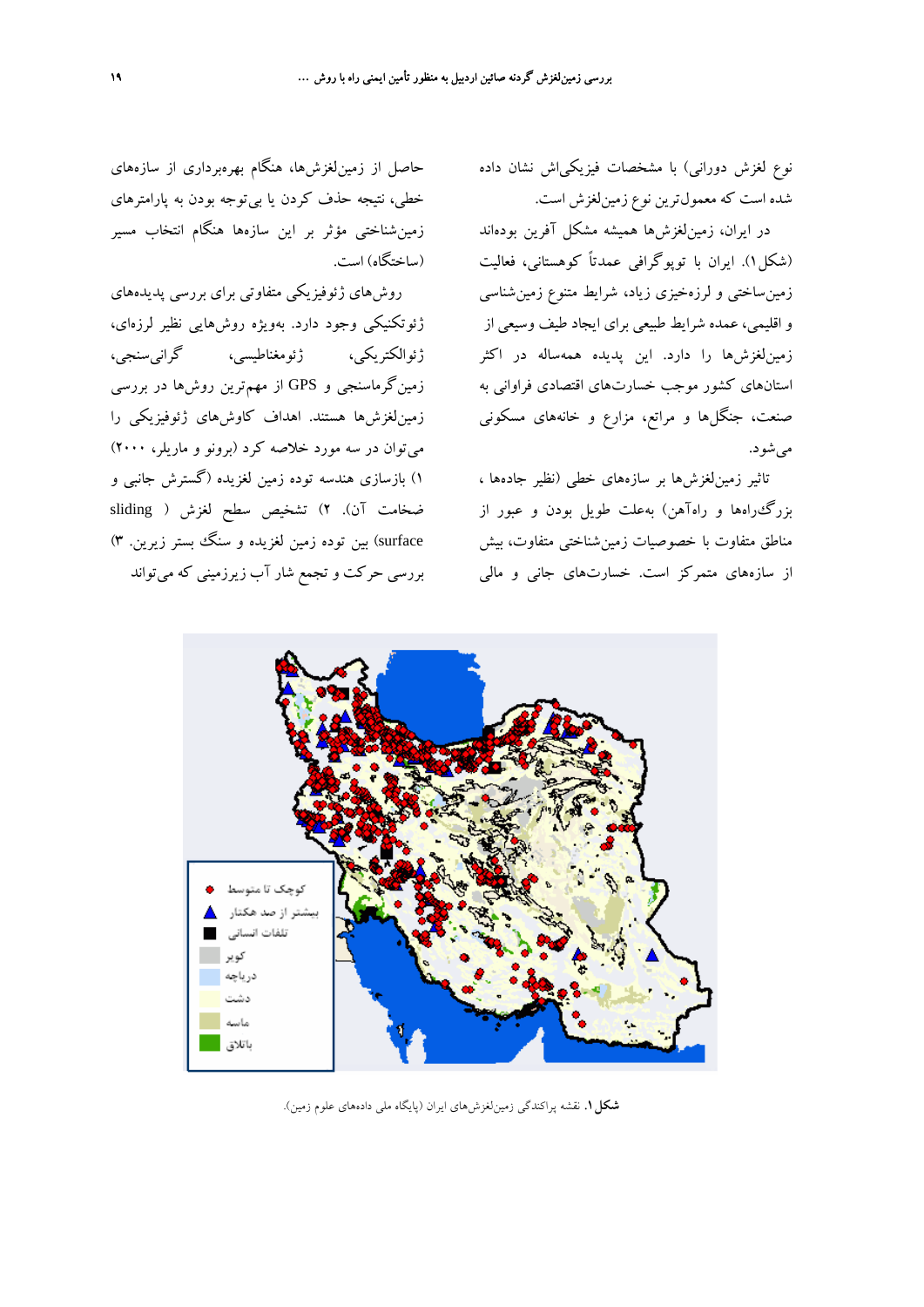نوع لغزش دوراني) با مشخصات فيزيكياش نشان داده شده است كه معمولترين نوع زمينلغزش است.

در ايران، زمينلغزشها هميشه مشكل آفرين بودهاند (شكل1). ايران با توپوگرافي عمدتاً كوهستاني، فعاليت زمينساختي و لرزهخيزي زياد، شرايط متنوع زمينشناسي و اقليمي، عمده شرايط طبيعي براي ايجاد طيف وسيعي از زمينلغزشها را دارد. اين پديده همهساله در اكثر استانهاي كشور موجب خسارتهاي اقتصادي فراواني به صنعت، جنگلها و مراتع، مزارع و خانههاي مسكوني ميشود.

تاثير زمينلغزشها بر سازههاي خطي (نظير جادهها ، بزرگراهها و راهآهن) بهعلت طويل بودن و عبور از مناطق متفاوت با خصوصيات زمينشناختي متفاوت، بيش از سازههاي متمركز است. خسارتهاي جاني و مالي

حاصل از زمينلغزشها، هنگام بهرهبرداري از سازههاي خطي، نتيجه حذف كردن يا بيتوجه بودن به پارامترهاي زمينشناختي مؤثر بر اين سازهها هنگام انتخاب مسير (ساختگاه) است.

روشهاي ژئوفيزيكي متفاوتي براي بررسي پديدههاي ژئوتكنيكي وجود دارد. بهويژه روشهايي نظير لرزهاي، ژئوالكتريكي، ژئومغناطيسي، گرانيسنجي، زمينگرماسنجي و GPS از مهمترين روشها در بررسي زمينلغزشها هستند. اهداف كاوشهاي ژئوفيزيكي را ميتوان در سه مورد خلاصه كرد (برونو و ماريلر، 2000) 1) بازسازي هندسه توده زمين لغزيده (گسترش جانبي و ضخامت آن). 2) تشخيص سطح لغزش ( sliding surface (بين توده زمين لغزيده و سنگ بستر زيرين. 3) بررسي حركت و تجمع شار آب زيرزميني كه ميتواند



**شكل.1** نقشه پراكندگي زمينلغزشهاي ايران (پايگاه ملي دادههاي علوم زمين).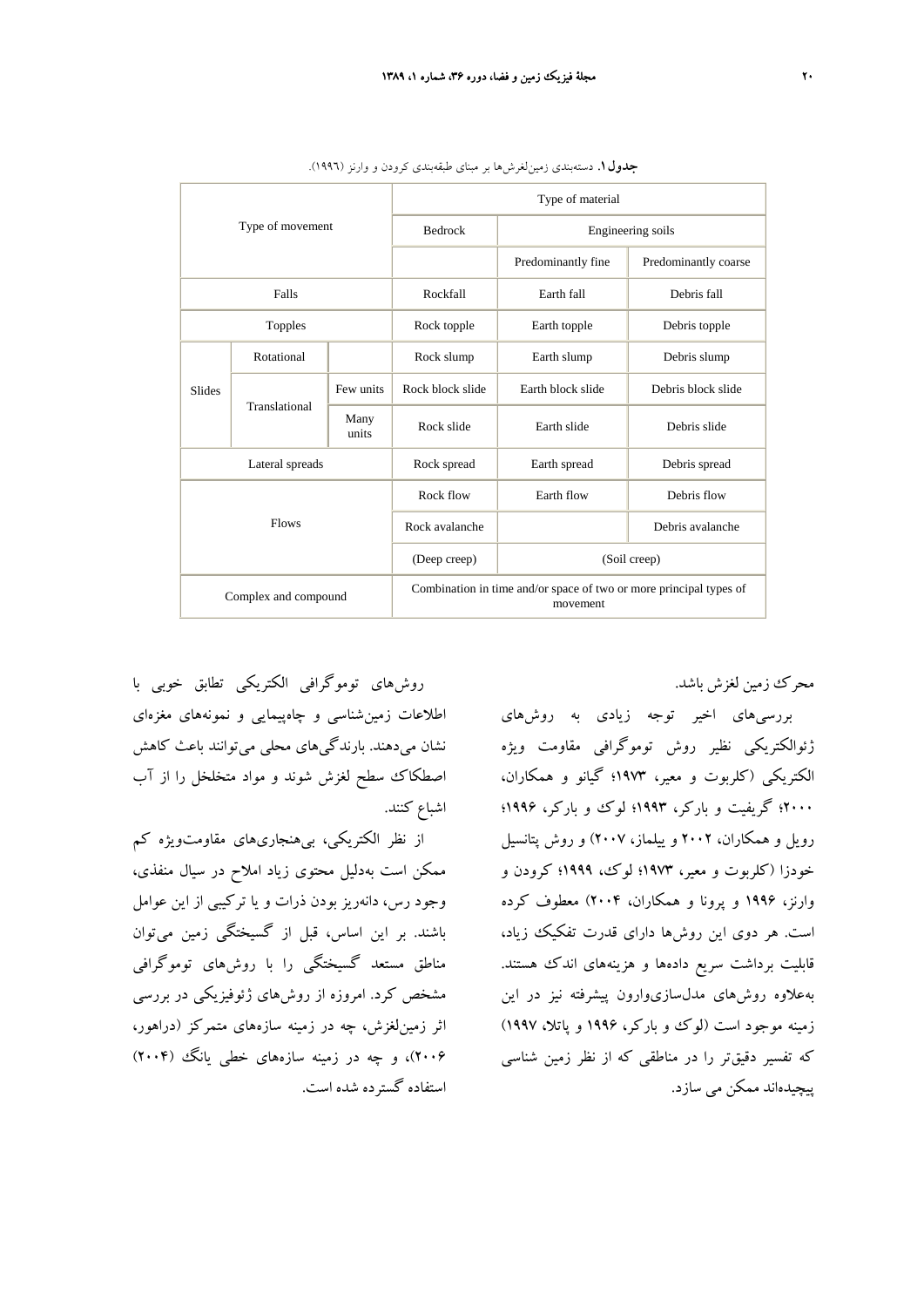| Type of movement     |               |               | Type of material                                                               |                    |                      |
|----------------------|---------------|---------------|--------------------------------------------------------------------------------|--------------------|----------------------|
|                      |               |               | <b>Bedrock</b>                                                                 | Engineering soils  |                      |
|                      |               |               |                                                                                | Predominantly fine | Predominantly coarse |
| Falls                |               |               | Rockfall                                                                       | Earth fall         | Debris fall          |
| Topples              |               |               | Rock topple                                                                    | Earth topple       | Debris topple        |
| <b>Slides</b>        | Rotational    |               | Rock slump                                                                     | Earth slump        | Debris slump         |
|                      | Translational | Few units     | Rock block slide                                                               | Earth block slide  | Debris block slide   |
|                      |               | Many<br>units | Rock slide                                                                     | Earth slide        | Debris slide         |
| Lateral spreads      |               |               | Rock spread                                                                    | Earth spread       | Debris spread        |
| <b>Flows</b>         |               |               | Rock flow                                                                      | Earth flow         | Debris flow          |
|                      |               |               | Rock avalanche                                                                 |                    | Debris avalanche     |
|                      |               |               | (Deep creep)                                                                   | (Soil creep)       |                      |
| Complex and compound |               |               | Combination in time and/or space of two or more principal types of<br>movement |                    |                      |

**جدول.1** دستهبندي زمينلغرشها بر مبناي طبقهبندي كرودن و وارنز (1996).

محرك زمين لغزش باشد.

بررسيهاي اخير توجه زيادي به روشهاي ژئوالكتريكي نظير روش توموگرافي مقاومت ويژه الكتريكي (كلربوت و معير، 1973؛ گيانو و همكاران، 2000؛ گريفيت و باركر، 1993؛ لوك و باركر، 1996؛ رويل و همكاران، 2002 و ييلماز، 2007) و روش پتانسيل خودزا (كلربوت و معير، 1973؛ لوك، 1999؛ كرودن و وارنز، 1996 و پرونا و همكاران، 2004) معطوف كرده است. هر دوي اين روشها داراي قدرت تفكيك زياد، قابليت برداشت سريع دادهها و هزينههاي اندك هستند. بهعلاوه روشهاي مدلسازيوارون پيشرفته نيز در اين زمينه موجود است (لوك و باركر، 1996 و پاتلا، 1997) كه تفسير دقيقتر را در مناطقي كه از نظر زمين شناسي پيچيدهاند ممكن مي سازد.

روشهاي توموگرافي الكتريكي تطابق خوبي با اطلاعات زمينشناسي و چاهپيمايي و نمونههاي مغزهاي نشان ميدهند. بارندگيهاي محلي ميتوانند باعث كاهش اصطكاك سطح لغزش شوند و مواد متخلخل را از آب اشباع كنند.

از نظر الكتريكي، بيهنجاريهاي مقاومتويژه كم ممكن است بهدليل محتوي زياد املاح در سيال منفذي، وجود رس، دانهريز بودن ذرات و يا تركيبي از اين عوامل باشند. بر اين اساس، قبل از گسيختگي زمين ميتوان مناطق مستعد گسيختگي را با روشهاي توموگرافي مشخص كرد. امروزه از روشهاي ژئوفيزيكي در بررسي اثر زمينلغزش، چه در زمينه سازههاي متمركز (دراهور، 2006)، و چه در زمينه سازههاي خطي يانگ (2004) استفاده گسترده شده است.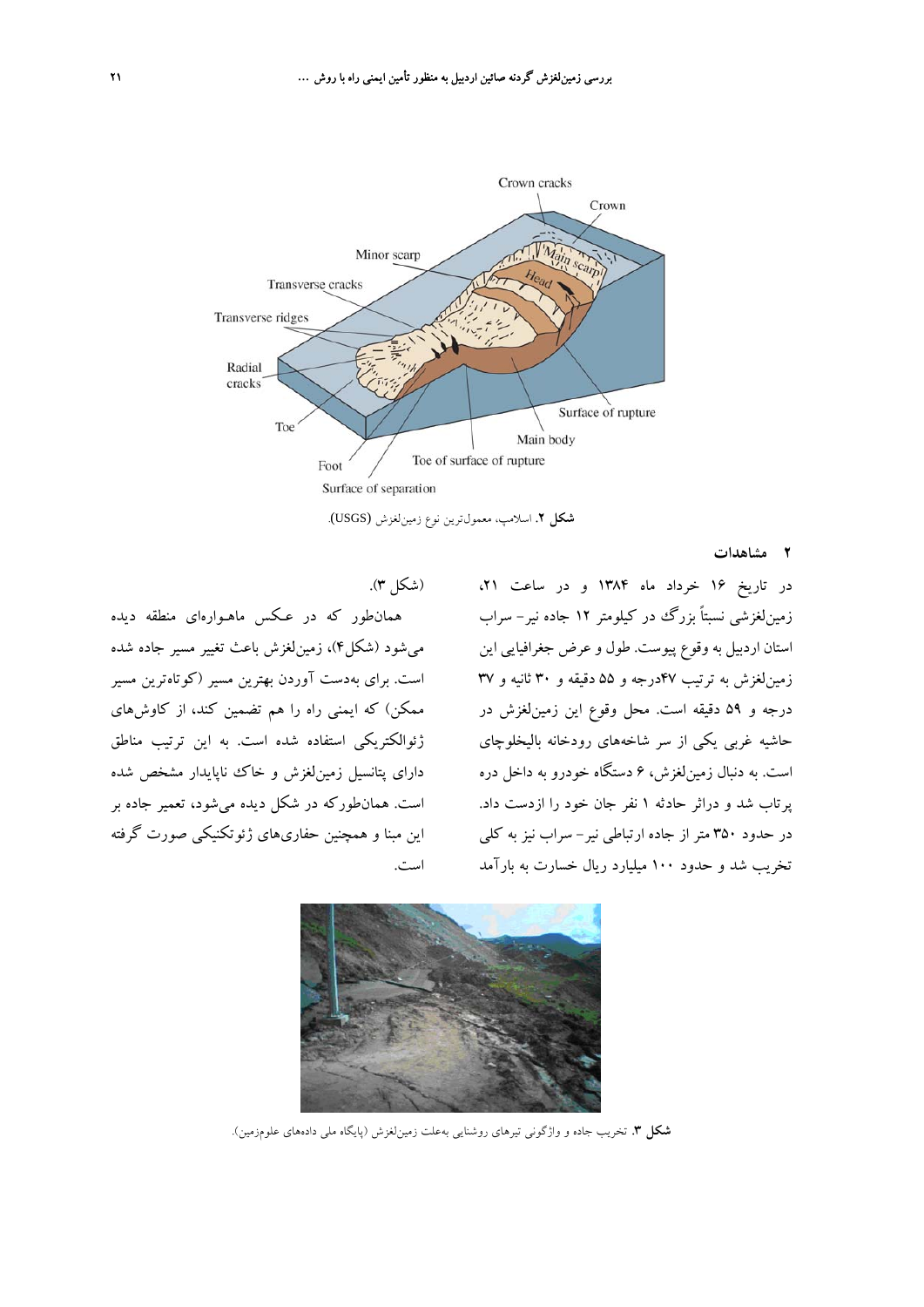

**شكل .2** اسلامپ، معمولترين نوع زمينلغزش (USGS(.

**2 مشاهدات**

در تاريخ 16 خرداد ماه 1384 و در ساعت ،21 زمينلغزشي نسبتاً بزرگ در كيلومتر 12 جاده نير- سراب استان اردبيل به وقوع پيوست. طول و عرض جغرافيايي اين زمينلغزش به ترتيب 47درجه و 55 دقيقه و 30 ثانيه و 37 درجه و 59 دقيقه است. محل وقوع اين زمينلغزش در حاشيه غربي يكي از سر شاخههاي رودخانه باليخلوچاي است. به دنبال زمينلغزش، 6 دستگاه خودرو به داخل دره پرتاب شد و دراثر حادثه 1 نفر جان خود را ازدست داد. در حدود 350 متر از جاده ارتباطي نير- سراب نيز به كلي تخريب شد و حدود 100 ميليارد ريال خسارت به بارآمد





**شكل .3** تخريب جاده و واژگوني تيرهاي روشنايي بهعلت زمينلغزش (پايگاه ملي دادههاي علومزمين).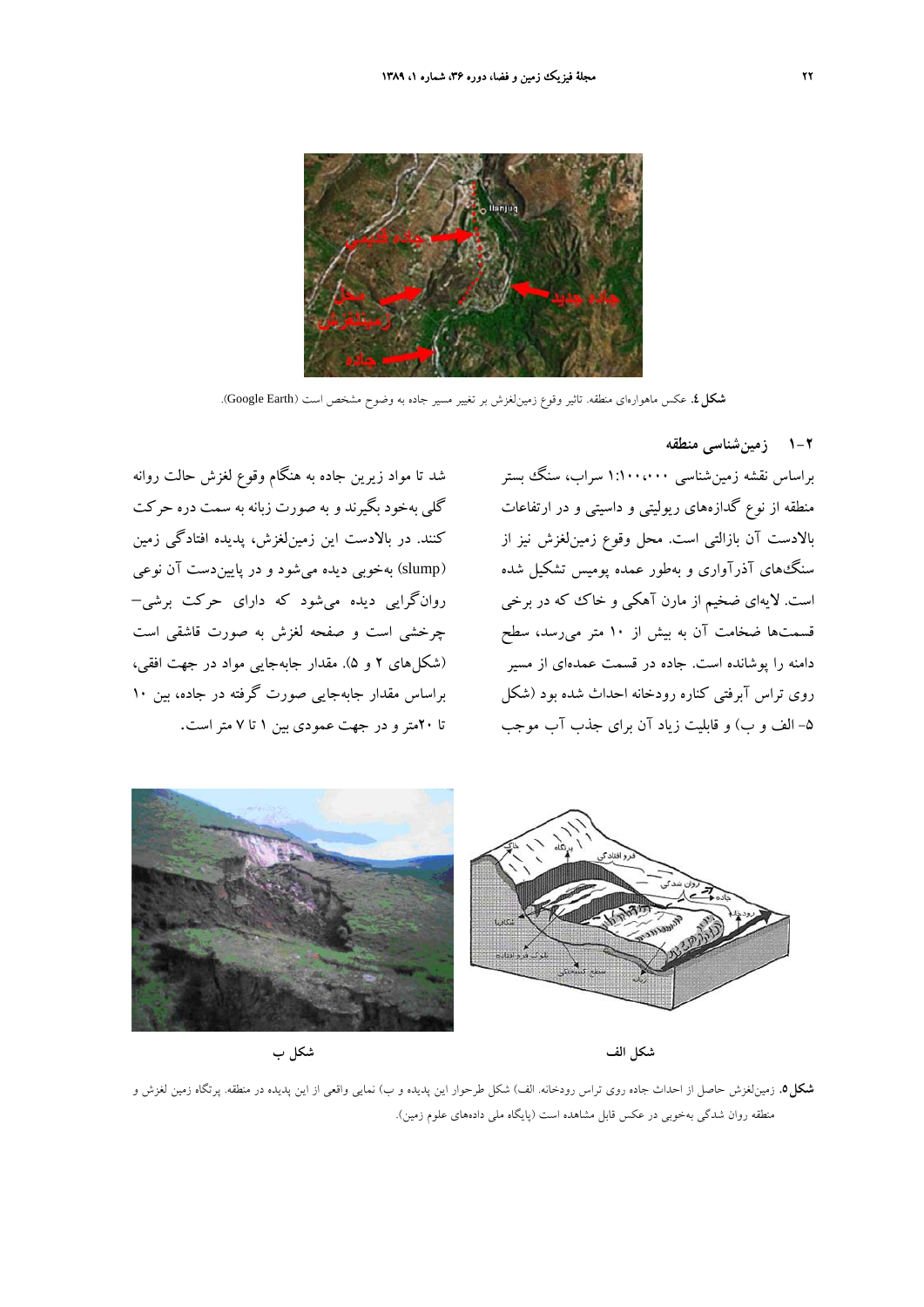

**شكل.4** عكس ماهوارهاي منطقه. تاثير وقوع زمينلغزش بر تغيير مسير جاده به وضوح مشخص است (Earth Google(.

براساس نقشه زمينشناسي 1:100،000 سراب، سنگ بستر منطقه از نوع گدازههاي ريوليتي و داسيتي و در ارتفاعات بالادست آن بازالتي است. محل وقوع زمينلغزش نيز از سنگهاي آذرآواري و بهطور عمده پوميس تشكيل شده است. لايهاي ضخيم از مارن آهكي و خاك كه در برخي قسمتها ضخامت آن به بيش از 10 متر ميرسد، سطح دامنه را پوشانده است. جاده در قسمت عمدهاي از مسير روي تراس آبرفتي كناره رودخانه احداث شده بود (شكل -5 الف و ب) و قابليت زياد آن براي جذب آب موجب

**1-2 زمينشناسي منطقه**





**شكل.5** زمينلغزش حاصل از احداث جاده روي تراس رودخانه. الف) شكل طرحوار اين پديده و ب) نمايي واقعي از اين پديده در منطقه. پرتگاه زمين لغزش و منطقه روان شدگي بهخوبي در عكس قابل مشاهده است (پايگاه ملي دادههاي علوم زمين).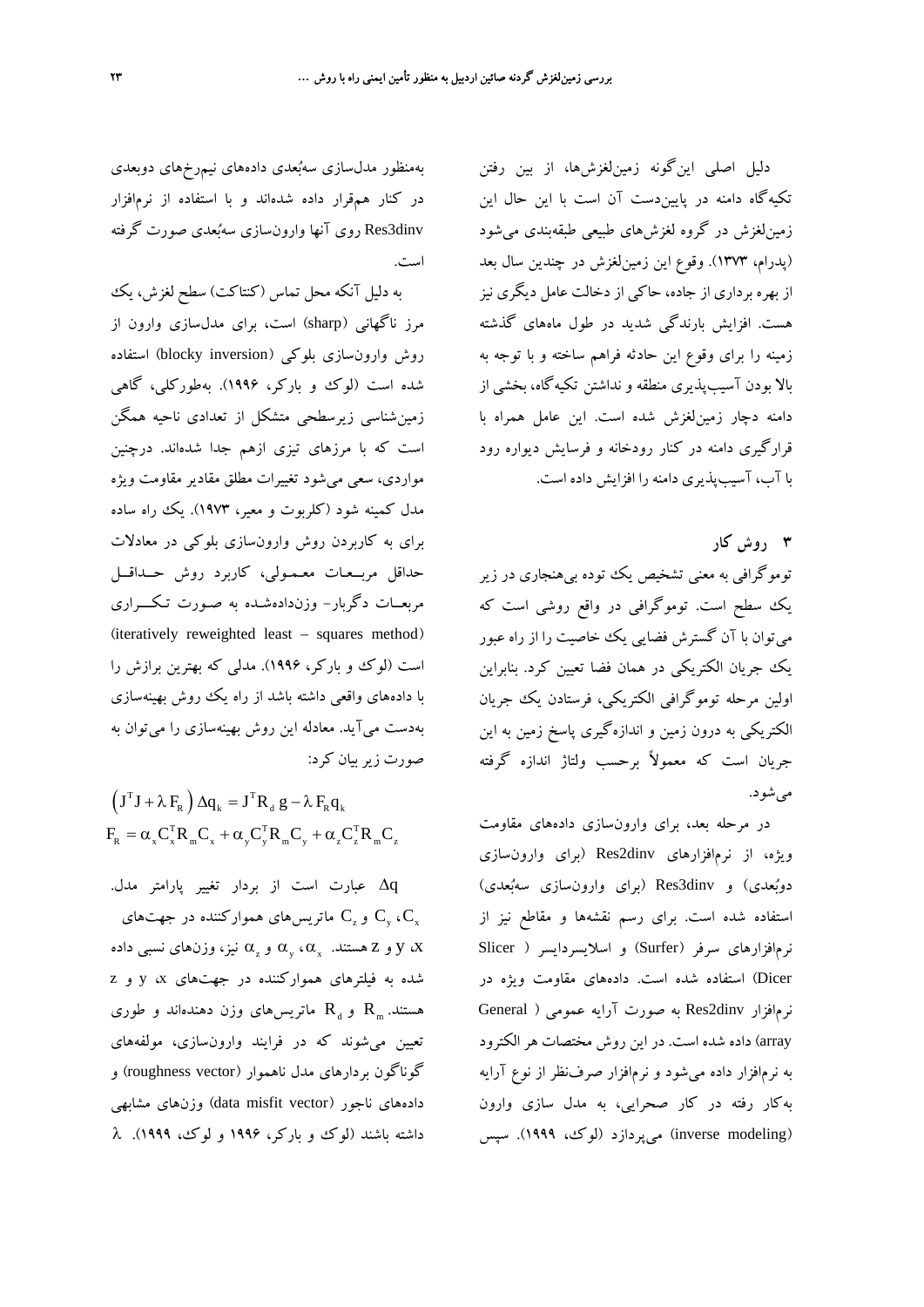دليل اصلي اينگونه زمينلغزشها، از بين رفتن تكيهگاه دامنه در پاييندست آن است با اين حال اين زمينلغزش در گروه لغزشهاي طبيعي طبقهبندي ميشود (پدرام، 1373). وقوع اين زمينلغزش در چندين سال بعد از بهره برداري از جاده، حاكي از دخالت عامل ديگري نيز هست. افزايش بارندگي شديد در طول ماههاي گذشته زمينه را براي وقوع اين حادثه فراهم ساخته و با توجه به بالا بودن آسيبپذيري منطقه و نداشتن تكيهگاه، بخشي از دامنه دچار زمينلغزش شده است. اين عامل همراه با قرارگيري دامنه در كنار رودخانه و فرسايش ديواره رود با آب، آسيبپذيري دامنه را افزايش داده است.

توموگرافي به معني تشخيص يك توده بيهنجاري در زير يك سطح است. توموگرافي در واقع روشي است كه ميتوان با آن گسترش فضايي يك خاصيت را از راه عبور يك جريان الكتريكي در همان فضا تعيين كرد. بنابراين اولين مرحله توموگرافي الكتريكي، فرستادن يك جريان الكتريكي به درون زمين و اندازهگيري پاسخ زمين به اين جريان است كه معمولاً برحسب ولتاژ اندازه گرفته مي شو د.

**3 روش كار**

در مرحله بعد، براي وارونسازي دادههاي مقاومت ويژه، از نرمافزارهاي dinv2Res) براي وارونسازي دوبعدي) و dinv3Res) براي وارونسازي سهبعدي) استفاده شده است. براي رسم نقشهها و مقاطع نيز از نرمافزارهاي سرفر (Surfer (و اسلايسردايسر ( Slicer Dicer (استفاده شده است. دادههاي مقاومت ويژه در نرمافزار dinv2Res به صورت آرايه عمومي ( General array (داده شده است. در اين روش مختصات هرالكترود به نرمافزار داده ميشود و نرمافزار صرفنظر از نوع آرايه بهكار رفته در كار صحرايي، به مدل سازي وارون (modeling inverse (ميپردازد (لوك، 1999). سپس

بهمنظور مدلسازي سهبعدي دادههاي نيمرخهاي دوبعدي در كنار همقرار داده شدهاند و با استفاده از نرمافزار dinv3Res روي آنها وارونسازي سهبعدي صورت گرفته است.

به دليل آنكه محل تماس (كنتاكت) سطح لغزش، يك مرز ناگهاني (sharp (است، براي مدلسازي وارون از روش وارون سازي بلوكي (blocky inversion) استفاده شده است (لوك و باركر، 1996). بهطوركلي، گاهي زمينشناسي زيرسطحي متشكل از تعدادي ناحيه همگن است كه با مرزهاي تيزي ازهم جدا شدهاند. درچنين مواردي، سعي ميشود تغييرات مطلق مقادير مقاومت ويژه مدل كمينه شود (كلربوت و معير، 1973). يك راه ساده براي به كاربردن روش وارونسازي بلوكي در معادلات حداقل مربــعـات معـمـولي، كاربرد روش حــداقــل مربعــات دگربار- وزندادهشـده به صـورت تـكـــراري (iteratively reweighted least – squares method) است (لوك و باركر، 1996). مدلي كه بهترين برازش را با دادههاي واقعي داشته باشد از راه يك روش بهينهسازي بهدست ميآيد. معادله اين روش بهينهسازي را ميتوان به صورت زيربيان كرد:

 $\left(\textbf{J}^{\scriptscriptstyle{\text{T}}} \textbf{J} + \lambda \, \textbf{F}_{\!\scriptscriptstyle{\text{R}}} \,\right) \Delta \textbf{q}_{\scriptscriptstyle{\text{k}}} = \textbf{J}^{\scriptscriptstyle{\text{T}}} \textbf{R}_{\scriptscriptstyle{\text{d}}} \, \textbf{g} - \lambda \, \textbf{F}_{\!\scriptscriptstyle{\text{R}}} \textbf{q}_{\scriptscriptstyle{\text{k}}}$  $F_{R} = \alpha_{x} C_{x}^{T} R_{m} C_{x} + \alpha_{y} C_{y}^{T} R_{m} C_{y} + \alpha_{z} C_{z}^{T} R_{m} C_{z}$ 

Δq عبارت است از بردار تغيير پارامتر مدل. و  $\mathrm{C}_z$  ماتريس هاي همواركننده در جهت هاي  $\mathrm{C}_\mathrm{v}$  ،  $\mathrm{C}_\mathrm{x}$ و Z هستند.  $\alpha_{\rm x}$ ، و  $\alpha_{\rm x}$ ،  $\alpha_{\rm x}$ ،  $\alpha_{\rm x}$  و  ${\rm x}$  و  ${\rm y}$  و  ${\rm x}$ شده به فيلترهاي همواركننده در جهتهاي x، y و z هستند.  $R_a$ و R ماتريس هاي وزن دهندهاند و طوري تعيين ميشوند كه در فرايند وارونسازي، مولفههاي گوناگون بردارهاي مدل ناهموار (roughness vector) و دادههاي ناجور (data misfit vector) وزنهاي مشابهي داشته باشند (لوك و باركر، 1996 و لوك، 1999). λ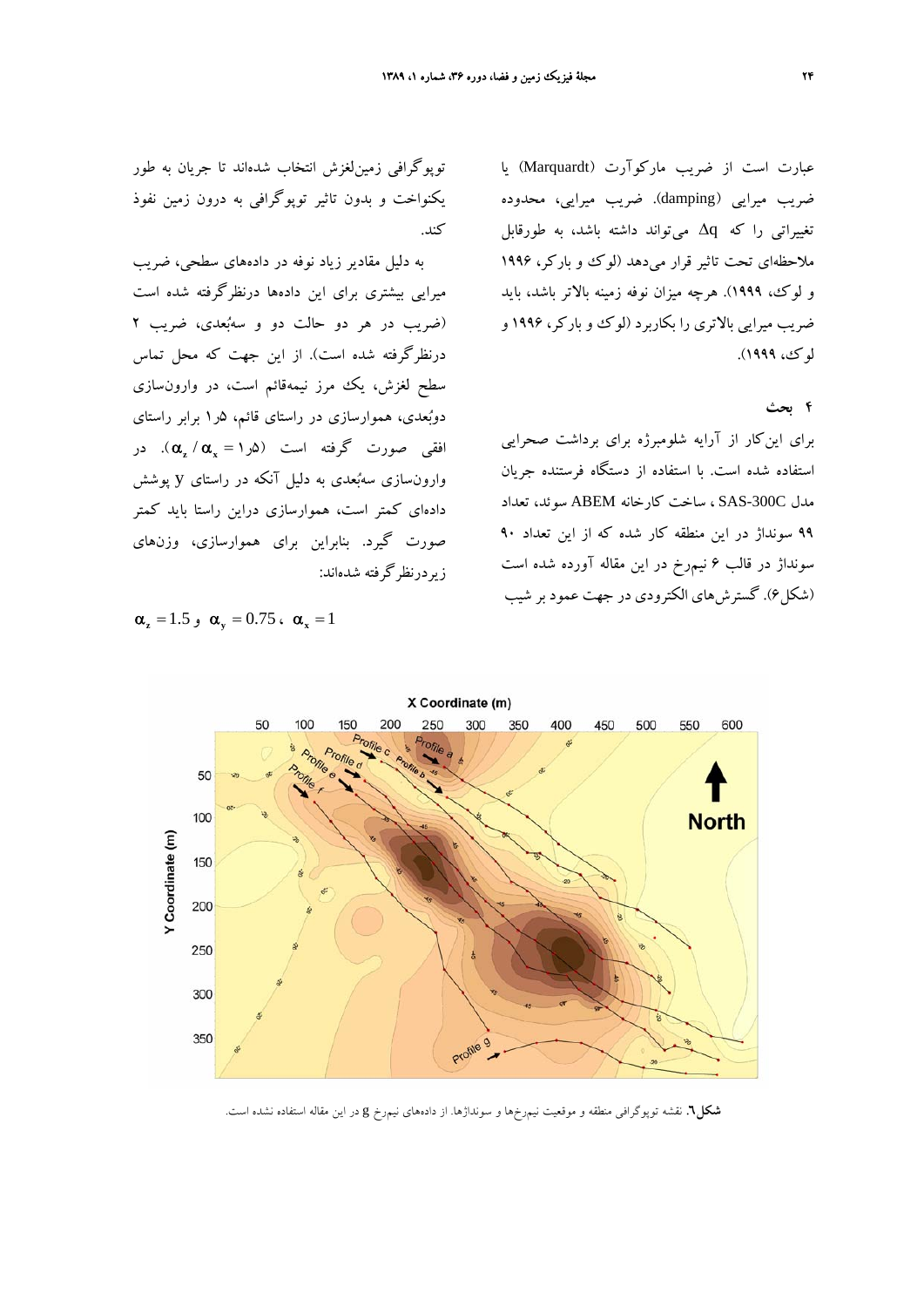عبارت است از ضريب ماركوآرت (Marquardt (يا ضريب ميرايي (damping(. ضريب ميرايي، محدوده تغييراتي را كه Δq ميتواند داشته باشد، به طورقابل ملاحظهاي تحت تاثير قرار ميدهد (لوك و باركر، 1996 و لوك، 1999). هرچه ميزان نوفه زمينه بالاتر باشد، بايد ضريب ميرايي بالاتري را بكاربرد (لوك و باركر، 1996 و لوك، 1999).

## **4 بحث**

براي اينكار از آرايه شلومبرژه براي برداشت صحرايي استفاده شده است. با استفاده از دستگاه فرستنده جريان مدل C-300SAS ، ساخت كارخانه ABEM سوئد، تعداد 99 سونداژ در اين منطقه كار شده كه از اين تعداد 90 سونداژ در قالب 6 نيمرخ در اين مقاله آورده شده است (شكل6). گسترشهاي الكترودي در جهت عمود بر شيب

توپوگرافي زمينلغزش انتخاب شدهاند تا جريان به طور يكنواخت و بدون تاثير توپوگرافي به درون زمين نفوذ كند.

به دليل مقادير زياد نوفه در دادههاي سطحي، ضريب ميرايي بيشتري براي اين دادهها درنظرگرفته شده است (ضريب در هر دو حالت دو و سهبعدي، ضريب 2 درنظرگرفته شده است). از اين جهت كه محل تماس سطح لغزش، يك مرز نيمهقائم است، در وارونسازي دوبعدي، هموارسازي در راستاي قائم، 5ر1 برابر راستاي افق<sub>ی</sub> صورت گرفته است (۵<sub>د (</sub> $\alpha_x / \alpha_x = \alpha$ ). در وارونسازي سهبعدي به دليل آنكه در راستاي y پوشش دادهاي كمتر است، هموارسازي دراين راستا بايد كمتر صورت گيرد. بنابراين براي هموارسازي، وزنهاي زيردرنظرگرفته شدهاند:

$$
\boldsymbol{\alpha}_{\mathbf{z}} = 1.5 \, \boldsymbol{\beta} \, \mathbf{\alpha}_{\mathbf{y}} = 0.75 \, \boldsymbol{\alpha}_{\mathbf{x}} = 1
$$



**شكل.6** نقشه توپوگرافي منطقه و موقعيت نيمرخها و سونداژها. از دادههاي نيمرخ g در اين مقاله استفاده نشده است.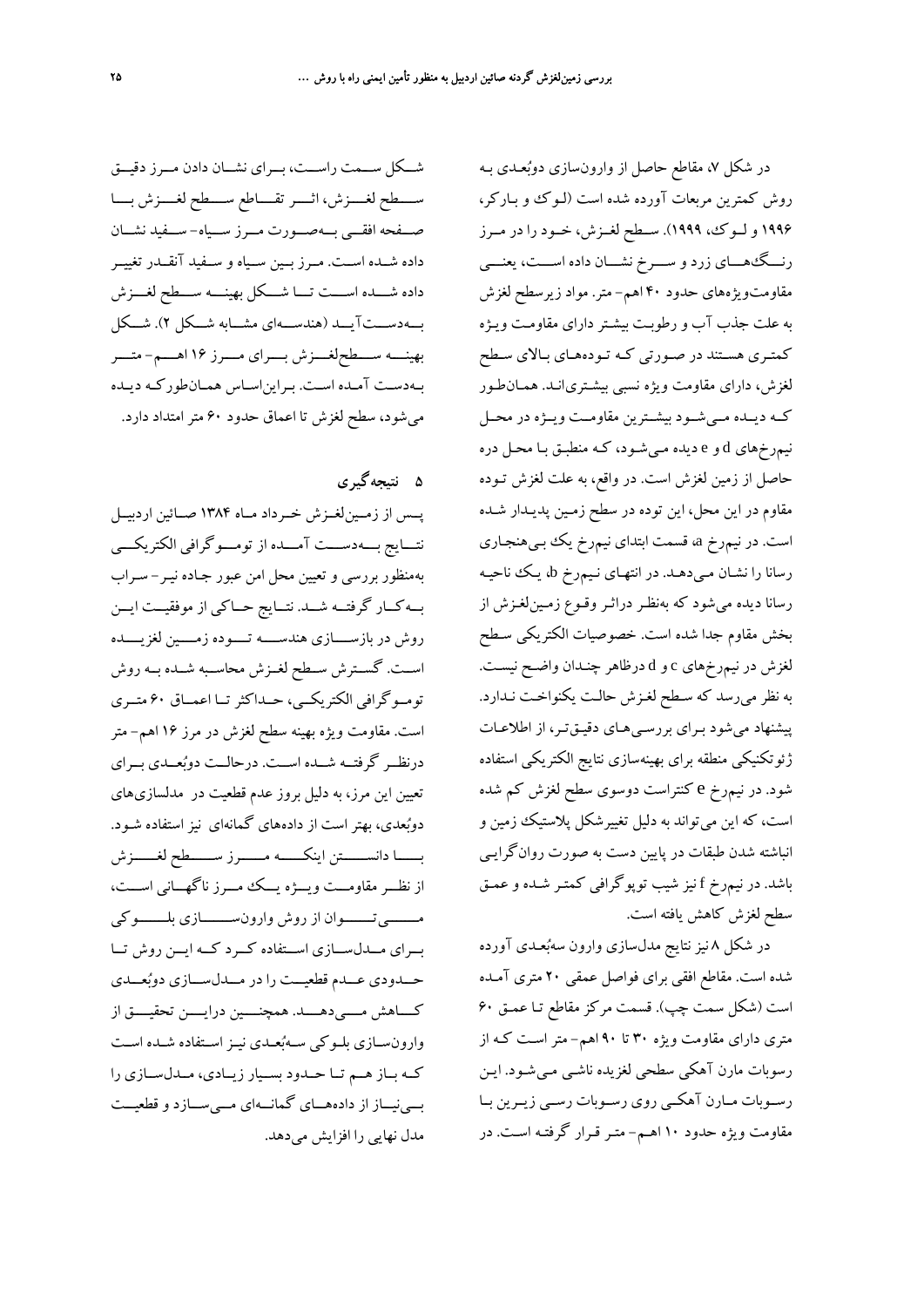شــكل ســمت راســت، بــراي نشــان دادن مــرز دقيــق ســــطح لغــــزش، اثــــر تقــــاطع ســــطح لغــــزش بــــا صـــفحه افقـــي بـــهصـــورت مـــرز ســـياه- ســـفيد نشـــان داده شــده اســت. مــرز بــين ســياه و ســفيد آنقــدر تغييــر داده شـــده اســـت تـــا شـــكل بهينـــه ســـطح لغـــزش بـــهدســـتآيـــد (هندســـهاي مشـــابه شـــكل 2). شـــكل بهينــــه ســــطحلغــــزش بــــراي مــــرز 16 اهــــم- متــــر بـهدسـت آمـده اسـت. بـرايناسـاس همـانطوركـه ديـده ميشود، سطح لغزش تا اعماق حدود 60 مترامتداد دارد.

**5 نتيجهگيري**

پــس از زمــينلغــزش خــرداد مــاه 1384 صــائين اردبيــل نتـــايج بـــهدســـت آمـــده از تومـــوگرافي الكتريكـــي بهمنظور بررسي و تعيين محل امن عبور جـاده نيـر - سـراب بــهكــار گرفتــه شــد. نتــايج حــاكي از موفقيــت ايــن روش در بازســــازي هندســــه تــــوده زمــــين لغزيــــده اســت. گســترش ســطح لغــزش محاســبه شــده بــه روش تومــوگرافي الكتريكــي، حــداكثرتــا اعمــاق 60 متــري است. مقاومت ويژه بهينه سطح لغزش در مرز 16 اهم- متر درنظــر گرفتــه شــده اســت. درحالــت دوبعــدي بــراي تعيين اين مرز، به دليل بروز عدم قطعيت در مدلسازيهاي دوبعدي، بهتر است از داده هاي گمانهاي نيزاستفاده شـود. بــــــا دانســــــتن اينكــــــه مــــــرز ســــــطح لغــــــزش از نظـــر مقاومـــت ويـــژه يـــك مـــرز ناگهـــاني اســـت، مـــــــيتـــــــوان از روش وارونســـــــازي بلـــــــوكي بــراي مــدلســازي اســتفاده كــرد كــه ايــن روش تــا حـــدودي عـــدم قطعيـــت را در مـــدلســـازي دوبعـــدي كــــاهش مــــيدهــــد. همچنــــين درايــــن تحقيــــق از وارونسـازي بلــوكي سـهبعــدي نيـزاســتفاده شـده اســت كــه بــاز هــم تــا حــدود بســيار زيــادي، مــدلســازي را بـــينيـــاز از دادههـــاي گمانـــهاي مـــيســـازد و قطعيـــت مدل نهايي را افزايش ميدهد.

در شكل ،7 مقاطع حاصل از وارون سازي دوبعـدي بـه روش كمترين مربعات آورده شده است (لـوك و بـاركر، 1996 و لــوك، 1999). ســطح لغــزش، خــود را در مــرز رنـــگهـــاي زرد و ســـرخ نشـــان داده اســـت، يعنـــي مقاومتويژههاي حدود 40 اهم- متر. مواد زيرسطح لغزش به علت جذب آب و رطوبـت بيشـتر داراي مقاومـت ويـژه كمتـري هسـتند در صـورتي كـه تـودههـاي بـالاي سـطح لغزش، داراي مقاومت ويژه نسبي بيشـتري|نـد. همـان $\deg$ كــه ديــده مــيشــود بيشــترين مقاومــت ويــژه در محــل نيمرخهاي d و e ديده مـيشـود، كـه منطبـق بـا محـل دره حاصل از زمين لغزش است . در واقع، به علت لغزش تـوده مقاوم در اين محل، اين توده در سطح زمـين پديـدار شـده است. در نيمرخ a، قسمت ابتداي نيمرخ يك بـيهنجـاري رسانا را نشـان مـي دهـد. در انتهـاي نـيمرخ b، يـك ناحيـه رسانا ديده ميشود كه بهنظـر دراثـر وقـوع زمـينلغـزش از بخش مقاوم جدا شده است. خصوصيات الكتريكي سـطح لغزش در نيمرخهاي c و d درظاهر چنـدان واضـح نيسـت . به نظر ميرسد كه سـطح لغـزش حالـت يكنواخـت نـدارد . پيشنهاد ميشود بـراي بررسـيهـاي دقيـقتـر، از اطلاعـات ژئوتكنيكي منطقه براي بهينهسازي نتايج الكتريكي استفاده شود. در نيمرخ e كنتراست دوسوي سطح لغزش كم شده است، كه اين ميتواند به دليل تغييرشكل پلاستيك زمين و انباشته شدن طبقات در پايين دست به صورت روان گرايـي باشد. در نيمرخ f نيز شيب توپوگرافي كمتـر شـده و عمـق سطح لغزش كاهش يافته است.

در شكل 8 نيز نتايج مدلسازي وارون سهبعـدي آورده شده است. مقاطع افقي براي فواصل عمقي 20 متري آمـده است (شكل سمت چپ). قسمت مركز مقاطع تـا عمـق 60 متري داراي مقاومت ويژه 30 تا 90 اهم- متر اسـت كـه از رسوبات مارن آهكي سطحي لغزيده ناشـي مـيشـود. ايـن رســوبات مــارن آهكــي روي رســوبات رســي زيــرين بــا مقاومت ويژه حدود 10 اهـم- متـر قـرار گرفتـه اسـت . در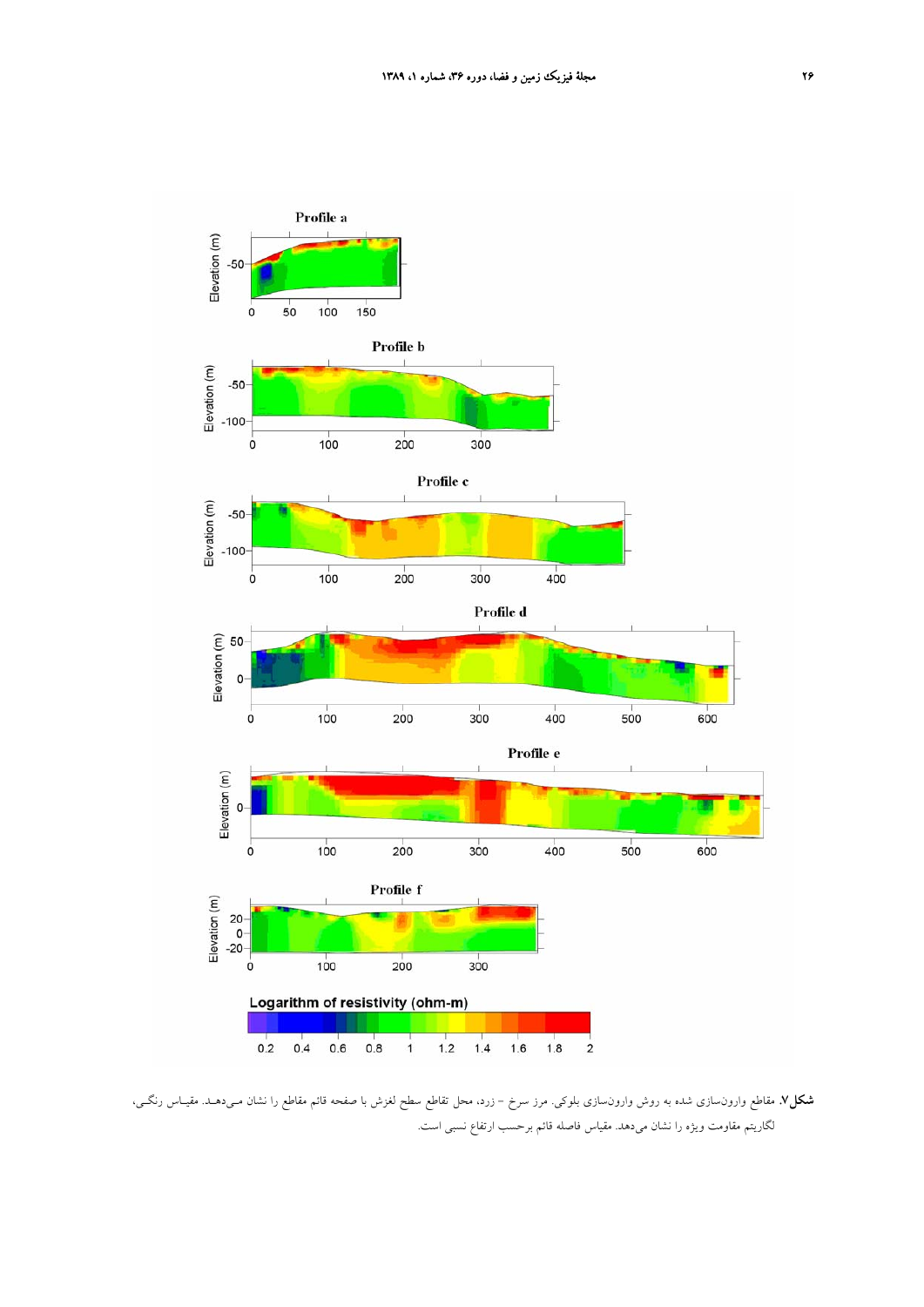

**شكل.7** مقاطع وارونسازي شده به روش وارونسازي بلوكي. مرز سرخ - زرد، محل تقاطع سطح لغزش با صفحه قائم مقاطع را نشان مـيدهـد. مقيـاس رنگـي، لگاريتم مقاومت ويژه را نشان ميدهد. مقياس فاصله قائم برحسب ارتفاع نسبي است.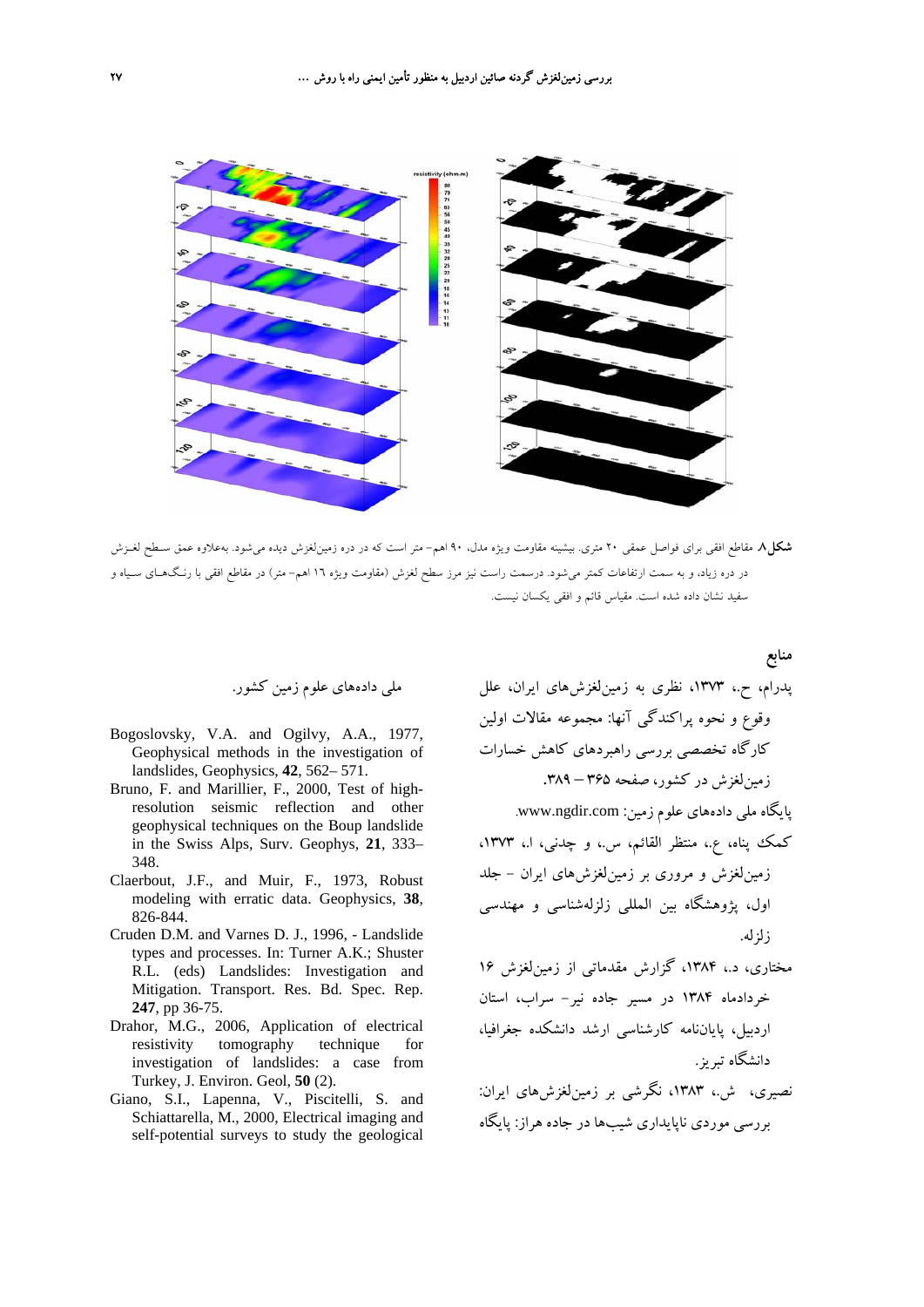

**شكل.8** مقاطع افقي براي فواصل عمقي 20 متري. بيشينه مقاومت ويژه مدل، 90 اهم- متر است كه در دره زمينلغزش ديده ميشود. بهعلاوه عمق سـطح لغـزش در دره زياد، و به سمت ارتفاعات كمتر ميشود. درسمت راست نيز مرز سطح لغزش (مقاومت ويژه 16 اهم- متر) در مقاطع افقي با رنـگهـاي سـياه و سفيد نشان داده شده است. مقياس قائم و افقي يكسان نيست.

**منابع**

ملي دادههاي علوم زمين كشور.

- Bogoslovsky, V.A. and Ogilvy, A.A., 1977, Geophysical methods in the investigation of landslides, Geophysics, **42**, 562– 571.
- Bruno, F. and Marillier, F., 2000, Test of highresolution seismic reflection and other geophysical techniques on the Boup landslide in the Swiss Alps, Surv. Geophys, **21**, 333– 348.
- Claerbout, J.F., and Muir, F., 1973, Robust modeling with erratic data. Geophysics, **38**, 826-844.
- Cruden D.M. and Varnes D. J., 1996, Landslide types and processes. In: Turner A.K.; Shuster R.L. (eds) Landslides: Investigation and Mitigation. Transport. Res. Bd. Spec. Rep. **247**, pp 36-75.
- Drahor, M.G., 2006, Application of electrical resistivity tomography technique for investigation of landslides: a case from Turkey, J. Environ. Geol, **50** (2).
- Giano, S.I., Lapenna, V., Piscitelli, S. and Schiattarella, M., 2000, Electrical imaging and self-potential surveys to study the geological

پدرام، ح،. ،1373 نظري به زمينلغزشهاي ايران، علل وقوع و نحوه پراكندگي آنها: مجموعه مقالات اولين كارگاه تخصصي بررسي راهبردهاي كاهش خسارات زمين لغزش در كشور، صفحه ٣۶۵ – ٣٨٩. پايگاه ملي دادههاي علوم زمين: www.ngdir.com.

كمك پناه، ع،. منتظر القائم، س،. و چدني، ا،. ،1373 زمينلغزش و مروري بر زمينلغزشهاي ايران - جلد اول، پژوهشگاه بين المللي زلزلهشناسي و مهندسي زلزله.

مختاري، د،. ،1384 گزارش مقدماتي از زمينلغزش 16 خردادماه 1384 در مسير جاده نير- سراب، استان اردبيل، پاياننامه كارشناسي ارشد دانشكده جغرافيا، دانشگاه تبريز.

نصيري، ش،. ،1383 نگرشي بر زمينلغزشهاي ايران: بررسي موردي ناپايداري شيبها در جاده هراز: پايگاه